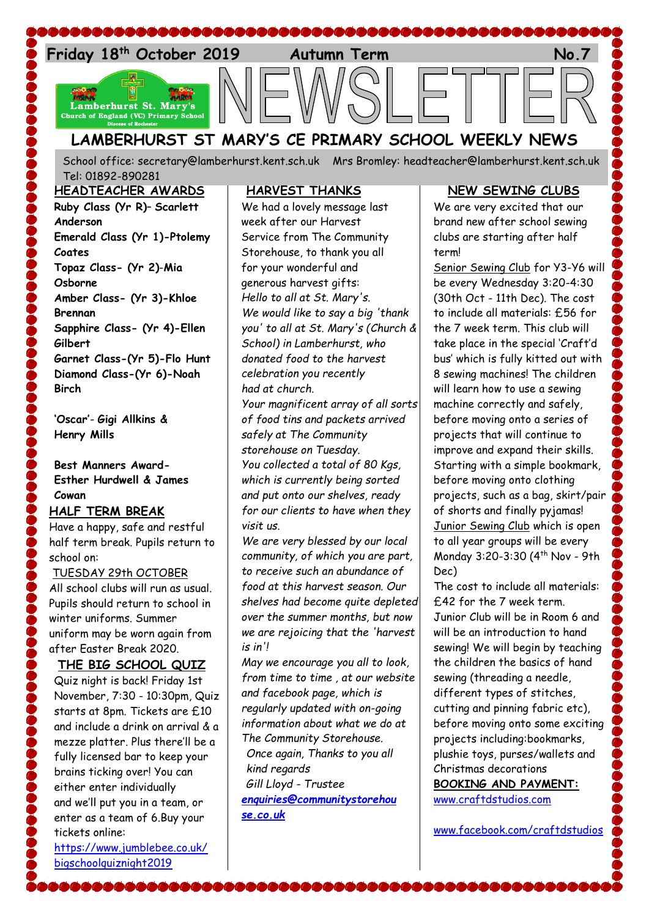

School office: [secretary@lamberhurst.kent.sch.uk](mailto:secretary@lamberhurst.kent.sch.uk) Mrs Bromley: headteacher@lamberhurst.kent.sch.uk Tel: 01892-890281

#### **HEADTEACHER AWARDS**

**Ruby Class (Yr R)**– **Scarlett Anderson Emerald Class (Yr 1)-Ptolemy Coates Topaz Class- (Yr 2)**-**Mia Osborne Amber Class- (Yr 3)-Khloe Brennan Sapphire Class- (Yr 4)-Ellen Gilbert Garnet Class-(Yr 5)-Flo Hunt Diamond Class-(Yr 6)-Noah Birch**

**'Oscar'**- **Gigi Allkins & Henry Mills**

### **Best Manners Award-Esther Hurdwell & James Cowan**

#### **HALF TERM BREAK**

Have a happy, safe and restful half term break. Pupils return to school on:

### TUESDAY 29th OCTOBER

All school clubs will run as usual. Pupils should return to school in winter uniforms. Summer uniform may be worn again from after Easter Break 2020.

#### **THE BIG SCHOOL QUIZ**

Quiz night is back! Friday 1st November, 7:30 - 10:30pm, Quiz starts at 8pm. Tickets are £10 and include a drink on arrival & a mezze platter. Plus there'll be a fully licensed bar to keep your brains ticking over! You can either enter individually and we'll put you in a team, or enter as a team of 6.Buy your tickets online:

[https://www.jumblebee.co.uk/](https://www.jumblebee.co.uk/bigschoolquiznight2019) [bigschoolquiznight2019](https://www.jumblebee.co.uk/bigschoolquiznight2019)

\&&&&&&&&&&&&&&

#### **HARVEST THANKS**

We had a lovely message last week after our Harvest Service from The Community Storehouse, to thank you all for your wonderful and generous harvest gifts: *Hello to all at St. Mary's. We would like to say a big 'thank you' to all at St. Mary's (Church & School) in Lamberhurst, who donated food to the harvest celebration you recently had at church.*

*Your magnificent array of all sorts of food tins and packets arrived safely at The Community storehouse on Tuesday. You collected a total of 80 Kgs, which is currently being sorted and put onto our shelves, ready for our clients to have when they visit us.*

*We are very blessed by our local community, of which you are part, to receive such an abundance of food at this harvest season. Our shelves had become quite depleted over the summer months, but now we are rejoicing that the 'harvest is in'!*

*May we encourage you all to look, from time to time , at our website and facebook page, which is regularly updated with on-going information about what we do at The Community Storehouse. Once again, Thanks to you all kind regards Gill Lloyd - Trustee [enquiries@communitystorehou](mailto:enquiries@communitystorehouse.co.uk) [se.co.uk](mailto:enquiries@communitystorehouse.co.uk)*

\&&&&&&&&&&&&&

### **NEW SEWING CLUBS**

We are very excited that our brand new after school sewing clubs are starting after half term!

Senior Sewing Club for Y3-Y6 will be every Wednesday 3:20-4:30 (30th Oct - 11th Dec). The cost to include all materials: £56 for the 7 week term. This club will take place in the special 'Craft'd bus' which is fully kitted out with 8 sewing machines! The children will learn how to use a sewing machine correctly and safely, before moving onto a series of projects that will continue to improve and expand their skills. Starting with a simple bookmark, before moving onto clothing projects, such as a bag, skirt/pair of shorts and finally pyjamas! Junior Sewing Club which is open to all year groups will be every Monday 3:20-3:30 (4th Nov - 9th Dec)

The cost to include all materials: £42 for the 7 week term. Junior Club will be in Room 6 and will be an introduction to hand sewing! We will begin by teaching the children the basics of hand sewing (threading a needle, different types of stitches, cutting and pinning fabric etc), before moving onto some exciting projects including:bookmarks, plushie toys, purses/wallets and Christmas decorations **BOOKING AND PAYMENT:** [www.craftdstudios.com](http://www.craftdstudios.com/)

[www.facebook.com/craftdstudios](http://www.facebook.com/craftdstudios)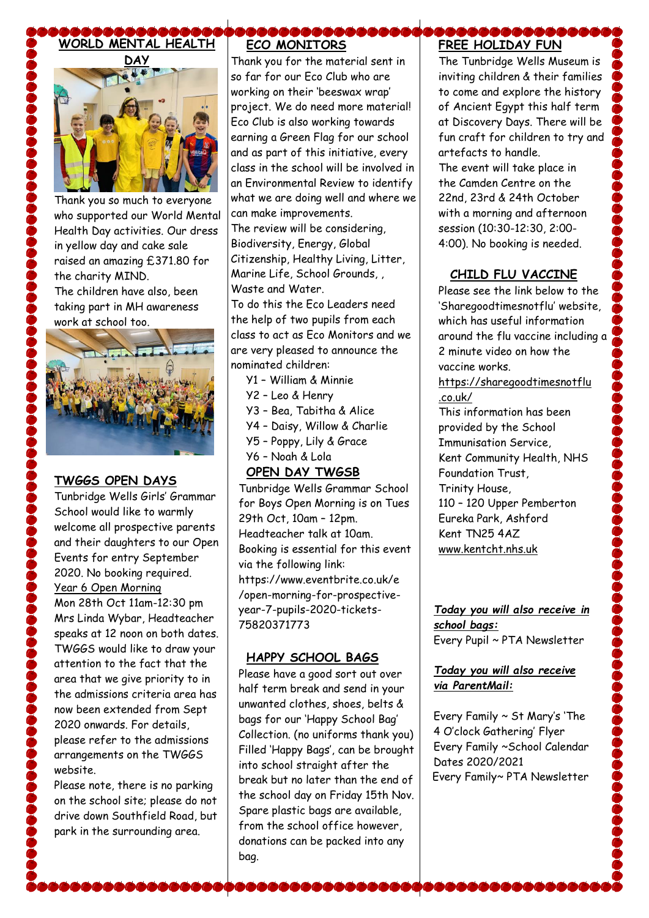

Thank you so much to everyone who supported our World Mental Health Day activities. Our dress in yellow day and cake sale raised an amazing £371.80 for the charity MIND. The children have also, been taking part in MH awareness work at school too.



### **TWGGS OPEN DAYS**

Tunbridge Wells Girls' Grammar School would like to warmly welcome all prospective parents and their daughters to our Open Events for entry September 2020. No booking required. Year 6 Open Morning Mon 28th Oct 11am-12:30 pm Mrs Linda Wybar, Headteacher speaks at 12 noon on both dates. TWGGS would like to draw your attention to the fact that the area that we give priority to in the admissions criteria area has now been extended from Sept 2020 onwards. For details, please refer to the admissions arrangements on the TWGGS website.

Please note, there is no parking on the school site; please do not drive down Southfield Road, but park in the surrounding area.

# **ECO MONITORS**

Thank you for the material sent in so far for our Eco Club who are working on their 'beeswax wrap' project. We do need more material! Eco Club is also working towards earning a Green Flag for our school and as part of this initiative, every class in the school will be involved in an Environmental Review to identify what we are doing well and where we can make improvements.

The review will be considering, Biodiversity, Energy, Global Citizenship, Healthy Living, Litter, Marine Life, School Grounds, , Waste and Water. To do this the Eco Leaders need

the help of two pupils from each class to act as Eco Monitors and we are very pleased to announce the nominated children:

- Y1 William & Minnie
- Y2 Leo & Henry
- Y3 Bea, Tabitha & Alice
- Y4 Daisy, Willow & Charlie
- Y5 Poppy, Lily & Grace
- Y6 Noah & Lola

## **OPEN DAY TWGSB**

Tunbridge Wells Grammar School for Boys Open Morning is on Tues 29th Oct, 10am – 12pm. Headteacher talk at 10am. Booking is essential for this event via the following link: https://www.eventbrite.co.uk/e /open-morning-for-prospectiveyear-7-pupils-2020-tickets-75820371773

## **HAPPY SCHOOL BAGS**

Please have a good sort out over half term break and send in your unwanted clothes, shoes, belts & bags for our 'Happy School Bag' Collection. (no uniforms thank you) Filled 'Happy Bags', can be brought into school straight after the break but no later than the end of the school day on Friday 15th Nov. Spare plastic bags are available, from the school office however, donations can be packed into any bag.

,,,,,,,,,,,,,,,,,,,,

# **FREE HOLIDAY FUN**

**BBBBBB** 

The Tunbridge Wells Museum is inviting children & their families to come and explore the history of Ancient Egypt this half term at Discovery Days. There will be fun craft for children to try and artefacts to handle.

The event will take place in the Camden Centre on the 22nd, 23rd & 24th October with a morning and afternoon session (10:30-12:30, 2:00- 4:00). No booking is needed.

### **CHILD FLU VACCINE**

Please see the link below to the 'Sharegoodtimesnotflu' website, which has useful information around the flu vaccine including a 2 minute video on how the vaccine works.

[https://sharegoodtimesnotflu](https://sharegoodtimesnotflu.co.uk/) [.co.uk/](https://sharegoodtimesnotflu.co.uk/)

This information has been provided by the School Immunisation Service, Kent Community Health, NHS Foundation Trust, Trinity House, 110 – 120 Upper Pemberton Eureka Park, Ashford Kent TN25 4AZ [www.kentcht.nhs.uk](http://www.kentcht.nhs.uk/)

*Today you will also receive in school bags:* Every Pupil ~ PTA Newsletter

### *Today you will also receive via ParentMail:*

Every Family ~ St Mary's 'The 4 O'clock Gathering' Flyer Every Family ~School Calendar Dates 2020/2021 Every Family~ PTA Newsletter